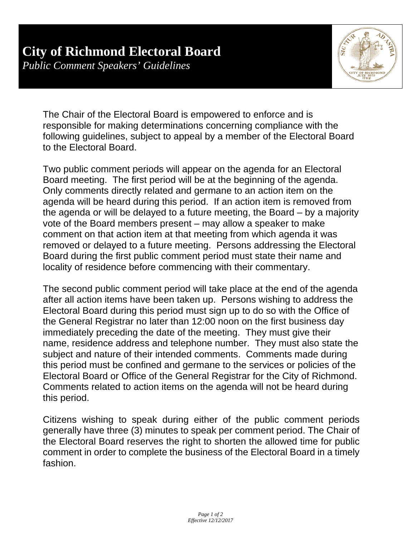## **City of Richmond Electoral Board**

*Public Comment Speakers' Guidelines* 



The Chair of the Electoral Board is empowered to enforce and is responsible for making determinations concerning compliance with the following guidelines, subject to appeal by a member of the Electoral Board to the Electoral Board.

Two public comment periods will appear on the agenda for an Electoral Board meeting. The first period will be at the beginning of the agenda. Only comments directly related and germane to an action item on the agenda will be heard during this period. If an action item is removed from the agenda or will be delayed to a future meeting, the Board – by a majority vote of the Board members present – may allow a speaker to make comment on that action item at that meeting from which agenda it was removed or delayed to a future meeting. Persons addressing the Electoral Board during the first public comment period must state their name and locality of residence before commencing with their commentary.

The second public comment period will take place at the end of the agenda after all action items have been taken up. Persons wishing to address the Electoral Board during this period must sign up to do so with the Office of the General Registrar no later than 12:00 noon on the first business day immediately preceding the date of the meeting. They must give their name, residence address and telephone number. They must also state the subject and nature of their intended comments. Comments made during this period must be confined and germane to the services or policies of the Electoral Board or Office of the General Registrar for the City of Richmond. Comments related to action items on the agenda will not be heard during this period.

Citizens wishing to speak during either of the public comment periods generally have three (3) minutes to speak per comment period. The Chair of the Electoral Board reserves the right to shorten the allowed time for public comment in order to complete the business of the Electoral Board in a timely fashion.